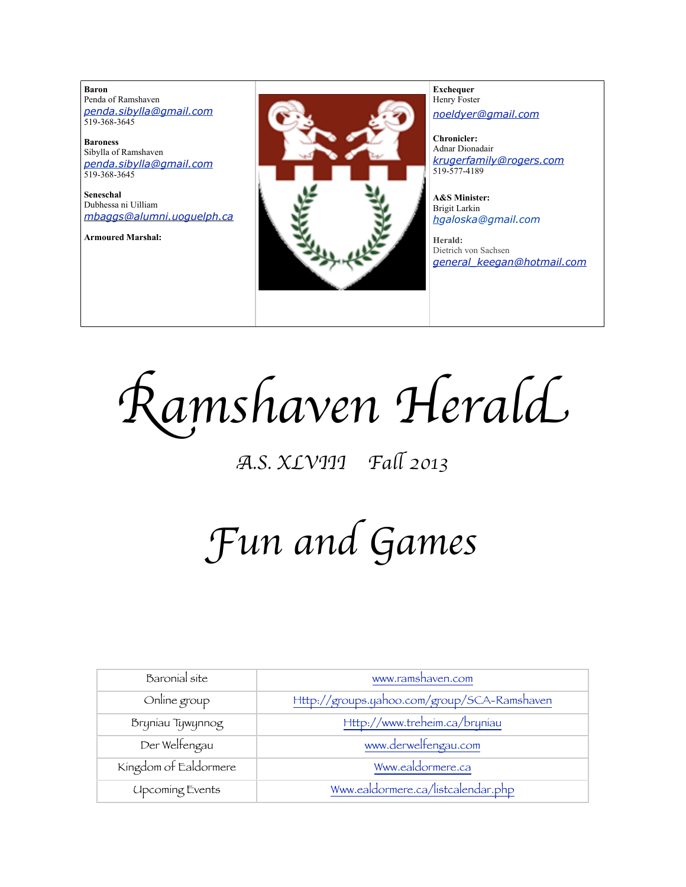**Baron**  Penda of Ramshaven *[penda.sibylla@gmail.com](mailto:penda.sibylla@gmail.com)* 519-368-3645

**Baroness** Sibylla of Ramshaven *[penda.sibylla@gmail.com](mailto:penda.sibylla@gmail.com)* 519-368-3645

**Seneschal** Dubhessa ni Uilliam *[mbaggs@alumni.uoguelph.ca](mailto:patchett@sympatico.ca)*

**Armoured Marshal:**



**Exchequer** Henry Foster *[noeldyer@gmail.com](mailto:noeldyer@gmail.com)*

**Chronicler:** Adnar Dionadair *[krugerfamily@rogers.com](mailto:erhardkruger@gmail.com)* 519-577-4189

**A&S Minister:** Brigit Larkin *hgaloska@gmail.com*

**Herald:** Dietrich von Sachsen *[general\\_keegan@hotmail.com](mailto:general_keegan@hotmail.com)*

R*amshaven Heral*d

# A*.S. XLVIII Fa*l *2013*

# F*un and Game*s

| Baronial site          | www.ramshaven.com                           |
|------------------------|---------------------------------------------|
| Online group           | Http://groups.yahoo.com/group/SCA-Ramshaven |
| Bryniau Tywynnog       | Http://www.treheim.ca/bryniau               |
| Der Welfengau          | www.derwelfengau.com                        |
| Kingdom of Ealdormere  | Www.ealdormere.ca                           |
| <b>Upcoming Events</b> | Www.ealdormere.ca/listcalendar.php          |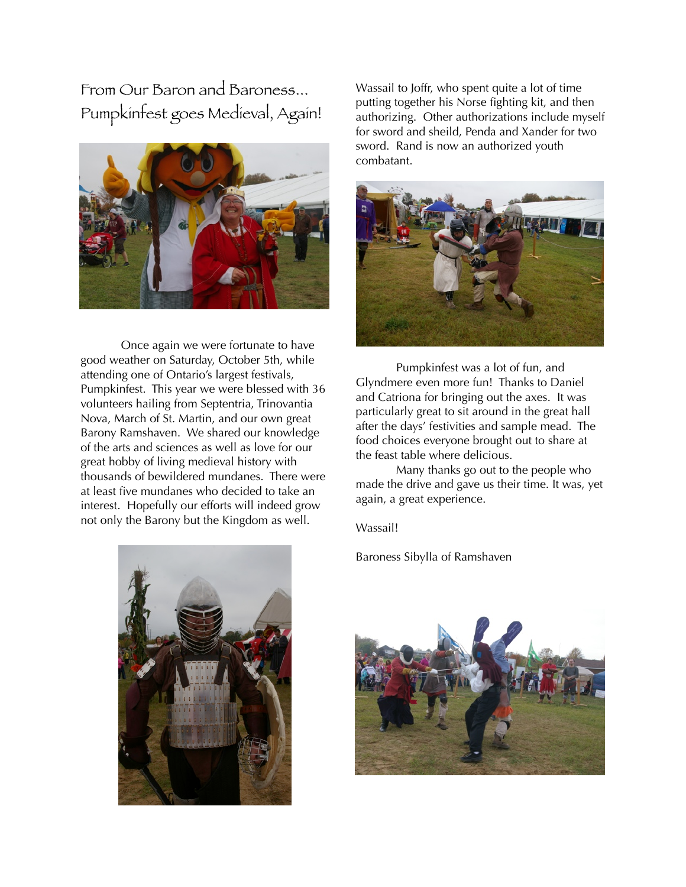From Our Baron and Baroness... Pumpkinfest goes Medieval, Again!



 Once again we were fortunate to have good weather on Saturday, October 5th, while attending one of Ontario's largest festivals, Pumpkinfest. This year we were blessed with 36 volunteers hailing from Septentria, Trinovantia Nova, March of St. Martin, and our own great Barony Ramshaven. We shared our knowledge of the arts and sciences as well as love for our great hobby of living medieval history with thousands of bewildered mundanes. There were at least five mundanes who decided to take an interest. Hopefully our efforts will indeed grow not only the Barony but the Kingdom as well.

Wassail to Joffr, who spent quite a lot of time putting together his Norse fighting kit, and then authorizing. Other authorizations include myself for sword and sheild, Penda and Xander for two sword. Rand is now an authorized youth combatant.



 Pumpkinfest was a lot of fun, and Glyndmere even more fun! Thanks to Daniel and Catriona for bringing out the axes. It was particularly great to sit around in the great hall after the days' festivities and sample mead. The food choices everyone brought out to share at the feast table where delicious.

 Many thanks go out to the people who made the drive and gave us their time. It was, yet again, a great experience.

Wassail!

Baroness Sibylla of Ramshaven



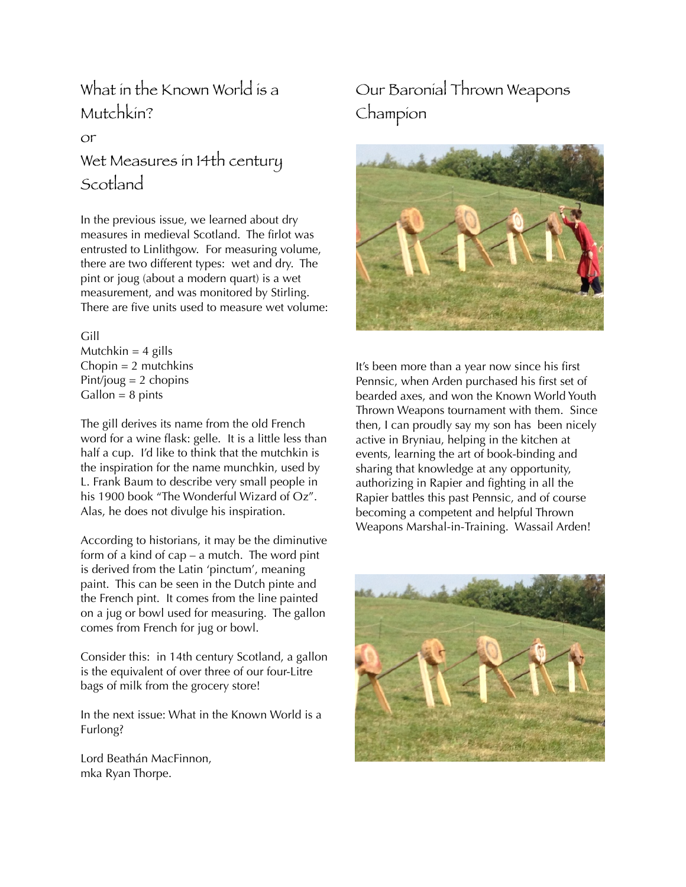#### What in the Known World is a Mutchkin?

or

# Wet Measures in 14th century Scotland

In the previous issue, we learned about dry measures in medieval Scotland. The firlot was entrusted to Linlithgow. For measuring volume, there are two different types: wet and dry. The pint or joug (about a modern quart) is a wet measurement, and was monitored by Stirling. There are five units used to measure wet volume:

#### Gill

Mutchkin  $=$  4 gills  $Chopin = 2$  mutchkins Pint/joug  $= 2$  chopins  $Gallon = 8$  pints

The gill derives its name from the old French word for a wine flask: gelle. It is a little less than half a cup. I'd like to think that the mutchkin is the inspiration for the name munchkin, used by L. Frank Baum to describe very small people in his 1900 book "The Wonderful Wizard of Oz". Alas, he does not divulge his inspiration.

According to historians, it may be the diminutive form of a kind of cap – a mutch. The word pint is derived from the Latin 'pinctum', meaning paint. This can be seen in the Dutch pinte and the French pint. It comes from the line painted on a jug or bowl used for measuring. The gallon comes from French for jug or bowl.

Consider this: in 14th century Scotland, a gallon is the equivalent of over three of our four-Litre bags of milk from the grocery store!

In the next issue: What in the Known World is a Furlong?

Lord Beathán MacFinnon, mka Ryan Thorpe.

## Our Baronial Thrown Weapons Champion



It's been more than a year now since his first Pennsic, when Arden purchased his first set of bearded axes, and won the Known World Youth Thrown Weapons tournament with them. Since then, I can proudly say my son has been nicely active in Bryniau, helping in the kitchen at events, learning the art of book-binding and sharing that knowledge at any opportunity, authorizing in Rapier and fighting in all the Rapier battles this past Pennsic, and of course becoming a competent and helpful Thrown Weapons Marshal-in-Training. Wassail Arden!